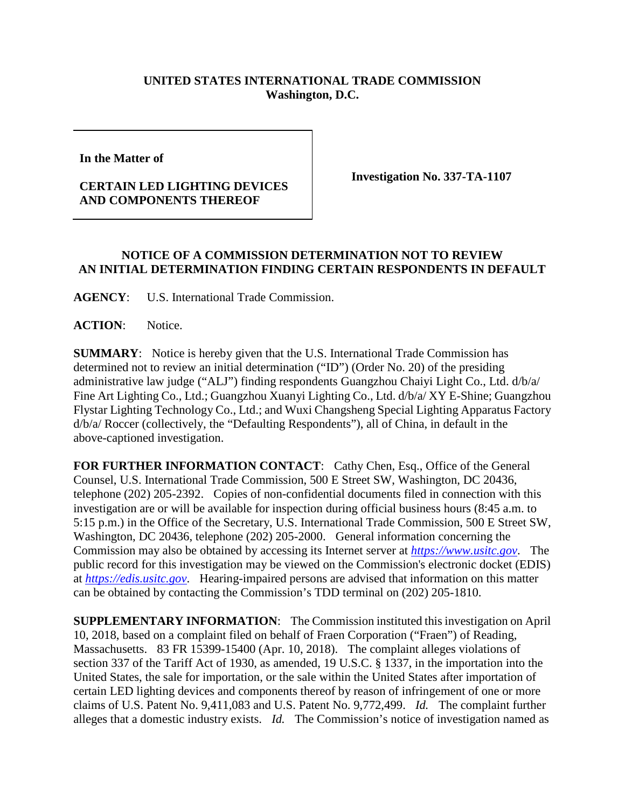## **UNITED STATES INTERNATIONAL TRADE COMMISSION Washington, D.C.**

**In the Matter of** 

## **CERTAIN LED LIGHTING DEVICES AND COMPONENTS THEREOF**

**Investigation No. 337-TA-1107**

## **NOTICE OF A COMMISSION DETERMINATION NOT TO REVIEW AN INITIAL DETERMINATION FINDING CERTAIN RESPONDENTS IN DEFAULT**

**AGENCY**: U.S. International Trade Commission.

**ACTION**: Notice.

**SUMMARY**: Notice is hereby given that the U.S. International Trade Commission has determined not to review an initial determination ("ID") (Order No. 20) of the presiding administrative law judge ("ALJ") finding respondents Guangzhou Chaiyi Light Co., Ltd. d/b/a/ Fine Art Lighting Co., Ltd.; Guangzhou Xuanyi Lighting Co., Ltd. d/b/a/ XY E-Shine; Guangzhou Flystar Lighting Technology Co., Ltd.; and Wuxi Changsheng Special Lighting Apparatus Factory d/b/a/ Roccer (collectively, the "Defaulting Respondents"), all of China, in default in the above-captioned investigation.

FOR FURTHER INFORMATION CONTACT: Cathy Chen, Esq., Office of the General Counsel, U.S. International Trade Commission, 500 E Street SW, Washington, DC 20436, telephone (202) 205-2392. Copies of non-confidential documents filed in connection with this investigation are or will be available for inspection during official business hours (8:45 a.m. to 5:15 p.m.) in the Office of the Secretary, U.S. International Trade Commission, 500 E Street SW, Washington, DC 20436, telephone (202) 205-2000. General information concerning the Commission may also be obtained by accessing its Internet server at *[https://www.usitc.gov](https://www.usitc.gov/)*. The public record for this investigation may be viewed on the Commission's electronic docket (EDIS) at *[https://edis.usitc.gov](https://edis.usitc.gov/)*. Hearing-impaired persons are advised that information on this matter can be obtained by contacting the Commission's TDD terminal on (202) 205-1810.

**SUPPLEMENTARY INFORMATION**: The Commission instituted this investigation on April 10, 2018, based on a complaint filed on behalf of Fraen Corporation ("Fraen") of Reading, Massachusetts. 83 FR 15399-15400 (Apr. 10, 2018). The complaint alleges violations of section 337 of the Tariff Act of 1930, as amended, 19 U.S.C. § 1337, in the importation into the United States, the sale for importation, or the sale within the United States after importation of certain LED lighting devices and components thereof by reason of infringement of one or more claims of U.S. Patent No. 9,411,083 and U.S. Patent No. 9,772,499. *Id.* The complaint further alleges that a domestic industry exists. *Id.* The Commission's notice of investigation named as